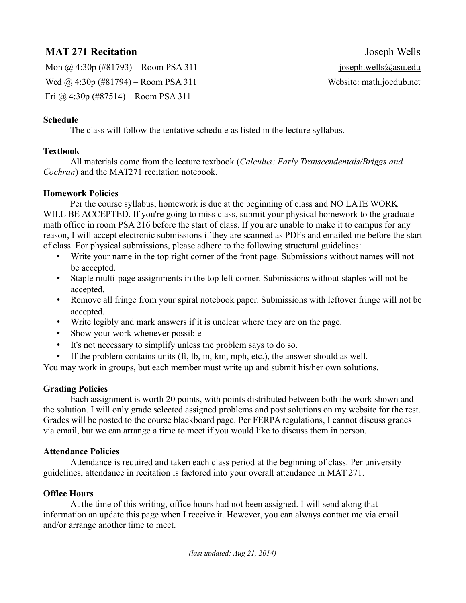# **MAT 271 Recitation** Joseph Wells

Mon  $\omega$  4:30p (#81793) – Room PSA 311 joseph.wells@asu.edu Wed  $\omega$  4:30p (#81794) – Room PSA 311 Website: math.joedub.net Fri @ 4:30p (#87514) – Room PSA 311

# **Schedule**

The class will follow the tentative schedule as listed in the lecture syllabus.

# **Textbook**

All materials come from the lecture textbook (*Calculus: Early Transcendentals/Briggs and Cochran*) and the MAT271 recitation notebook.

# **Homework Policies**

Per the course syllabus, homework is due at the beginning of class and NO LATE WORK WILL BE ACCEPTED. If you're going to miss class, submit your physical homework to the graduate math office in room PSA 216 before the start of class. If you are unable to make it to campus for any reason, I will accept electronic submissions if they are scanned as PDFs and emailed me before the start of class. For physical submissions, please adhere to the following structural guidelines:

- Write your name in the top right corner of the front page. Submissions without names will not be accepted.
- Staple multi-page assignments in the top left corner. Submissions without staples will not be accepted.
- Remove all fringe from your spiral notebook paper. Submissions with leftover fringe will not be accepted.
- Write legibly and mark answers if it is unclear where they are on the page.
- Show your work whenever possible
- It's not necessary to simplify unless the problem says to do so.
- If the problem contains units (ft, lb, in, km, mph, etc.), the answer should as well.

You may work in groups, but each member must write up and submit his/her own solutions.

# **Grading Policies**

Each assignment is worth 20 points, with points distributed between both the work shown and the solution. I will only grade selected assigned problems and post solutions on my website for the rest. Grades will be posted to the course blackboard page. Per FERPA regulations, I cannot discuss grades via email, but we can arrange a time to meet if you would like to discuss them in person.

#### **Attendance Policies**

Attendance is required and taken each class period at the beginning of class. Per university guidelines, attendance in recitation is factored into your overall attendance in MAT 271.

# **Office Hours**

At the time of this writing, office hours had not been assigned. I will send along that information an update this page when I receive it. However, you can always contact me via email and/or arrange another time to meet.